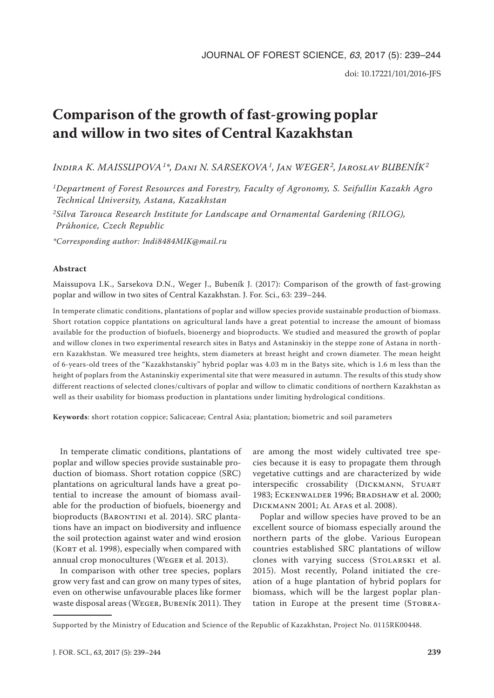# **Comparison of the growth of fast-growing poplar and willow in two sites of Central Kazakhstan**

*Indira K. MAISSUPOVA1\*, Dani N. SARSEKOVA1, Jan WEGER2, Jaroslav BUBENÍK2*

*1Department of Forest Resources and Forestry, Faculty of Agronomy, S. Seifullin Kazakh Agro Technical University, Astana, Kazakhstan*

*2Silva Tarouca Research Institute for Landscape and Ornamental Gardening (RILOG), Průhonice, Czech Republic*

*\*Corresponding author: Indi8484MIK@mail.ru*

#### **Abstract**

Maissupova I.K., Sarsekova D.N., Weger J., Bubeník J. (2017): Comparison of the growth of fast-growing poplar and willow in two sites of Central Kazakhstan. J. For. Sci., 63: 239–244.

In temperate climatic conditions, plantations of poplar and willow species provide sustainable production of biomass. Short rotation coppice plantations on agricultural lands have a great potential to increase the amount of biomass available for the production of biofuels, bioenergy and bioproducts. We studied and measured the growth of poplar and willow clones in two experimental research sites in Batys and Astaninskiy in the steppe zone of Astana in northern Kazakhstan. We measured tree heights, stem diameters at breast height and crown diameter. The mean height of 6-years-old trees of the "Kazakhstanskiy" hybrid poplar was 4.03 m in the Batys site, which is 1.6 m less than the height of poplars from the Astaninskiy experimental site that were measured in autumn. The results of this study show different reactions of selected clones/cultivars of poplar and willow to climatic conditions of northern Kazakhstan as well as their usability for biomass production in plantations under limiting hydrological conditions.

**Keywords**: short rotation coppice; Salicaceae; Central Asia; plantation; biometric and soil parameters

In temperate climatic conditions, plantations of poplar and willow species provide sustainable production of biomass. Short rotation coppice (SRC) plantations on agricultural lands have a great potential to increase the amount of biomass available for the production of biofuels, bioenergy and bioproducts (BARONTINI et al. 2014). SRC plantations have an impact on biodiversity and influence the soil protection against water and wind erosion (KORT et al. 1998), especially when compared with annual crop monocultures (Weger et al. 2013).

In comparison with other tree species, poplars grow very fast and can grow on many types of sites, even on otherwise unfavourable places like former waste disposal areas (Weger, Bubeník 2011). They

are among the most widely cultivated tree species because it is easy to propagate them through vegetative cuttings and are characterized by wide interspecific crossability (Dickmann, Stuart 1983; Eckenwalder 1996; Bradshaw et al. 2000; Dickmann 2001; Al Afas et al. 2008).

Poplar and willow species have proved to be an excellent source of biomass especially around the northern parts of the globe. Various European countries established SRC plantations of willow clones with varying success (STOLARSKI et al. 2015). Most recently, Poland initiated the creation of a huge plantation of hybrid poplars for biomass, which will be the largest poplar plantation in Europe at the present time (STOBRA-

Supported by the Ministry of Education and Science of the Republic of Kazakhstan, Project No. 0115RK00448.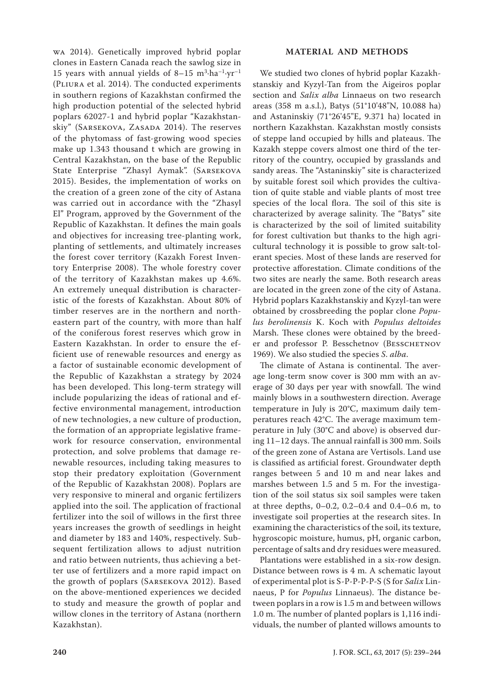wa 2014). Genetically improved hybrid poplar clones in Eastern Canada reach the sawlog size in 15 years with annual yields of 8-15  $m^3$ -ha<sup>-1</sup>·yr<sup>-1</sup> (Pliura et al. 2014). The conducted experiments in southern regions of Kazakhstan confirmed the high production potential of the selected hybrid poplars 62027-1 and hybrid poplar "Kazakhstanskiy" (SARSEKOVA, ZASADA 2014). The reserves of the phytomass of fast-growing wood species make up 1.343 thousand t which are growing in Central Kazakhstan, on the base of the Republic State Enterprise "Zhasyl Aymak". (Sarsekova 2015). Besides, the implementation of works on the creation of a green zone of the city of Astana was carried out in accordance with the "Zhasyl El" Program, approved by the Government of the Republic of Kazakhstan. It defines the main goals and objectives for increasing tree-planting work, planting of settlements, and ultimately increases the forest cover territory (Kazakh Forest Inventory Enterprise 2008). The whole forestry cover of the territory of Kazakhstan makes up 4.6%. An extremely unequal distribution is characteristic of the forests of Kazakhstan. About 80% of timber reserves are in the northern and northeastern part of the country, with more than half of the coniferous forest reserves which grow in Eastern Kazakhstan. In order to ensure the efficient use of renewable resources and energy as a factor of sustainable economic development of the Republic of Kazakhstan a strategy by 2024 has been developed. This long-term strategy will include popularizing the ideas of rational and effective environmental management, introduction of new technologies, a new culture of production, the formation of an appropriate legislative framework for resource conservation, environmental protection, and solve problems that damage renewable resources, including taking measures to stop their predatory exploitation (Government of the Republic of Kazakhstan 2008). Poplars are very responsive to mineral and organic fertilizers applied into the soil. The application of fractional fertilizer into the soil of willows in the first three years increases the growth of seedlings in height and diameter by 183 and 140%, respectively. Subsequent fertilization allows to adjust nutrition and ratio between nutrients, thus achieving a better use of fertilizers and a more rapid impact on the growth of poplars (Sarsekova 2012). Based on the above-mentioned experiences we decided to study and measure the growth of poplar and willow clones in the territory of Astana (northern Kazakhstan).

### **MATERIAL AND METHODS**

We studied two clones of hybrid poplar Kazakhstanskiy and Kyzyl-Tan from the Aigeiros poplar section and *Salix alba* Linnaeus on two research areas (358 m a.s.l.), Batys (51°10'48"N, 10.088 ha) and Astaninskiy (71°26'45"E, 9.371 ha) located in northern Kazakhstan. Kazakhstan mostly consists of steppe land occupied by hills and plateaus. The Kazakh steppe covers almost one third of the territory of the country, occupied by grasslands and sandy areas. The "Astaninskiy" site is characterized by suitable forest soil which provides the cultivation of quite stable and viable plants of most tree species of the local flora. The soil of this site is characterized by average salinity. The "Batys" site is characterized by the soil of limited suitability for forest cultivation but thanks to the high agricultural technology it is possible to grow salt-tolerant species. Most of these lands are reserved for protective afforestation. Climate conditions of the two sites are nearly the same. Both research areas are located in the green zone of the city of Astana. Hybrid poplars Kazakhstanskiy and Kyzyl-tan were obtained by crossbreeding the poplar clone *Populus berolinensis* K. Koch with *Populus deltoides*  Marsh. These clones were obtained by the breeder and professor P. Besschetnov (Besschetnov 1969). We also studied the species *S*. *alba*.

The climate of Astana is continental. The average long-term snow cover is 300 mm with an average of 30 days per year with snowfall. The wind mainly blows in a southwestern direction. Average temperature in July is 20°C, maximum daily temperatures reach 42°C. The average maximum temperature in July (30°С and above) is observed during 11–12 days. The annual rainfall is 300 mm. Soils of the green zone of Astana are Vertisols. Land use is classified as artificial forest. Groundwater depth ranges between 5 and 10 m and near lakes and marshes between 1.5 and 5 m. For the investigation of the soil status six soil samples were taken at three depths, 0–0.2, 0.2–0.4 and 0.4–0.6 m, to investigate soil properties at the research sites. In examining the characteristics of the soil, its texture, hygroscopic moisture, humus, pH, organic carbon, percentage of salts and dry residues were measured.

Plantations were established in a six-row design. Distance between rows is 4 m. A schematic layout of experimental plot is S-P-P-P-P-S (S for *Salix* Linnaeus, P for *Populus* Linnaeus). The distance between poplars in a row is 1.5 m and between willows 1.0 m. The number of planted poplars is 1,116 individuals, the number of planted willows amounts to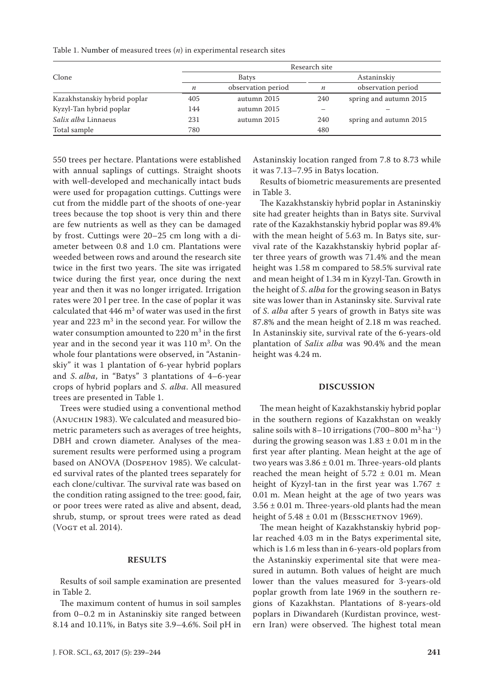| Table 1. Number of measured trees $(n)$ in experimental research sites |  |  |  |  |
|------------------------------------------------------------------------|--|--|--|--|
|------------------------------------------------------------------------|--|--|--|--|

|                              | Research site    |                    |                  |                        |  |  |
|------------------------------|------------------|--------------------|------------------|------------------------|--|--|
| Clone                        |                  | <b>Batys</b>       | Astaninskiy      |                        |  |  |
|                              | $\boldsymbol{n}$ | observation period | $\boldsymbol{n}$ | observation period     |  |  |
| Kazakhstanskiy hybrid poplar | 405              | autumn 2015        | 240              | spring and autumn 2015 |  |  |
| Kyzyl-Tan hybrid poplar      | 144              | autumn 2015        |                  |                        |  |  |
| Salix alba Linnaeus          | 231              | autumn 2015        | 240              | spring and autumn 2015 |  |  |
| Total sample                 | 780              |                    | 480              |                        |  |  |

550 trees per hectare. Plantations were established with annual saplings of cuttings. Straight shoots with well-developed and mechanically intact buds were used for propagation cuttings. Cuttings were cut from the middle part of the shoots of one-year trees because the top shoot is very thin and there are few nutrients as well as they can be damaged by frost. Cuttings were 20–25 cm long with a diameter between 0.8 and 1.0 cm. Plantations were weeded between rows and around the research site twice in the first two years. The site was irrigated twice during the first year, once during the next year and then it was no longer irrigated. Irrigation rates were 20 l per tree. In the case of poplar it was calculated that  $446 \text{ m}^3$  of water was used in the first year and 223 m<sup>3</sup> in the second year. For willow the water consumption amounted to  $220 \text{ m}^3$  in the first year and in the second year it was  $110 \text{ m}^3$ . On the whole four plantations were observed, in "Astaninskiy" it was 1 plantation of 6-year hybrid poplars and *S*. *alba*, in "Batys" 3 plantations of 4–6-year crops of hybrid poplars and *S*. *alba*. All measured trees are presented in Table 1.

Trees were studied using a conventional method (ANUCHIN 1983). We calculated and measured biometric parameters such as averages of tree heights, DBH and crown diameter. Analyses of the measurement results were performed using a program based on ANOVA (Dospehov 1985). We calculated survival rates of the planted trees separately for each clone/cultivar. The survival rate was based on the condition rating assigned to the tree: good, fair, or poor trees were rated as alive and absent, dead, shrub, stump, or sprout trees were rated as dead (VOGT et al. 2014).

#### **RESULTS**

Results of soil sample examination are presented in Table 2.

The maximum content of humus in soil samples from 0–0.2 m in Astaninskiy site ranged between 8.14 and 10.11%, in Batys site 3.9–4.6%. Soil pH in

Astaninskiy location ranged from 7.8 to 8.73 while it was 7.13–7.95 in Batys location.

Results of biometric measurements are presented in Table 3.

The Kazakhstanskiy hybrid poplar in Astaninskiy site had greater heights than in Batys site. Survival rate of the Kazakhstanskiy hybrid poplar was 89.4% with the mean height of 5.63 m. In Batys site, survival rate of the Kazakhstanskiy hybrid poplar after three years of growth was 71.4% and the mean height was 1.58 m compared to 58.5% survival rate and mean height of 1.34 m in Kyzyl-Tan. Growth in the height of *S*. *alba* for the growing season in Batys site was lower than in Astaninsky site. Survival rate of *S*. *alba* after 5 years of growth in Batys site was 87.8% and the mean height of 2.18 m was reached. In Astaninskiy site, survival rate of the 6-years-old plantation of *Salix alba* was 90.4% and the mean height was 4.24 m.

#### **DISCUSSION**

The mean height of Kazakhstanskiy hybrid poplar in the southern regions of Kazakhstan on weakly saline soils with 8–10 irrigations (700–800  $\mathrm{m}^3\text{-}\mathrm{ha}^{-1}$ ) during the growing season was  $1.83 \pm 0.01$  m in the first year after planting. Mean height at the age of two years was  $3.86 \pm 0.01$  m. Three-years-old plants reached the mean height of  $5.72 \pm 0.01$  m. Mean height of Kyzyl-tan in the first year was  $1.767 \pm$ 0.01 m. Mean height at the age of two years was  $3.56 \pm 0.01$  m. Three-years-old plants had the mean height of  $5.48 \pm 0.01$  m (BESSCHETNOV 1969).

The mean height of Kazakhstanskiy hybrid poplar reached 4.03 m in the Batys experimental site, which is 1.6 m less than in 6-years-old poplars from the Astaninskiy experimental site that were measured in autumn. Both values of height are much lower than the values measured for 3-years-old poplar growth from late 1969 in the southern regions of Kazakhstan. Plantations of 8-years-old poplars in Diwandareh (Kurdistan province, western Iran) were observed. The highest total mean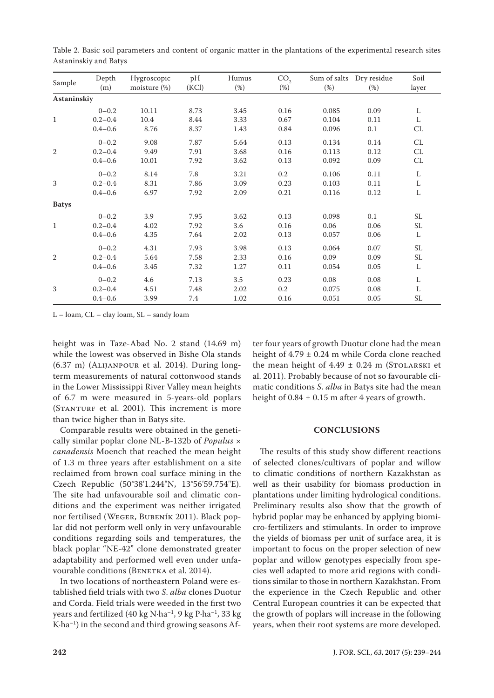| Sample       | Depth<br>(m) | Hygroscopic<br>moisture (%) | pH<br>(KCl) | Humus<br>$(\%)$ | CO <sub>2</sub><br>$(\%)$ | $(\%)$ | Sum of salts Dry residue<br>(%) | Soil<br>layer                     |
|--------------|--------------|-----------------------------|-------------|-----------------|---------------------------|--------|---------------------------------|-----------------------------------|
| Astaninskiy  |              |                             |             |                 |                           |        |                                 |                                   |
|              | $0 - 0.2$    | 10.11                       | 8.73        | 3.45            | 0.16                      | 0.085  | 0.09                            | L                                 |
| 1            | $0.2 - 0.4$  | 10.4                        | 8.44        | 3.33            | 0.67                      | 0.104  | 0.11                            | L                                 |
|              | $0.4 - 0.6$  | 8.76                        | 8.37        | 1.43            | 0.84                      | 0.096  | 0.1                             | CL                                |
|              | $0 - 0.2$    | 9.08                        | 7.87        | 5.64            | 0.13                      | 0.134  | 0.14                            | CL                                |
| 2            | $0.2 - 0.4$  | 9.49                        | 7.91        | 3.68            | 0.16                      | 0.113  | 0.12                            | CL                                |
|              | $0.4 - 0.6$  | 10.01                       | 7.92        | 3.62            | 0.13                      | 0.092  | 0.09                            | $\ensuremath{\mathrm{CL}}\xspace$ |
|              | $0 - 0.2$    | 8.14                        | 7.8         | 3.21            | $0.2\,$                   | 0.106  | 0.11                            | L                                 |
| 3            | $0.2 - 0.4$  | 8.31                        | 7.86        | 3.09            | 0.23                      | 0.103  | 0.11                            | L                                 |
|              | $0.4 - 0.6$  | 6.97                        | 7.92        | 2.09            | 0.21                      | 0.116  | 0.12                            | L                                 |
| <b>Batys</b> |              |                             |             |                 |                           |        |                                 |                                   |
|              | $0 - 0.2$    | 3.9                         | 7.95        | 3.62            | 0.13                      | 0.098  | 0.1                             | SL                                |
| $\mathbf{1}$ | $0.2 - 0.4$  | 4.02                        | 7.92        | 3.6             | 0.16                      | 0.06   | 0.06                            | SL                                |
|              | $0.4 - 0.6$  | 4.35                        | 7.64        | 2.02            | 0.13                      | 0.057  | 0.06                            | L                                 |
|              | $0 - 0.2$    | 4.31                        | 7.93        | 3.98            | 0.13                      | 0.064  | 0.07                            | SL                                |
| 2            | $0.2 - 0.4$  | 5.64                        | 7.58        | 2.33            | 0.16                      | 0.09   | 0.09                            | SL                                |
|              | $0.4 - 0.6$  | 3.45                        | 7.32        | 1.27            | 0.11                      | 0.054  | 0.05                            | L                                 |
|              | $0 - 0.2$    | 4.6                         | 7.13        | 3.5             | 0.23                      | 0.08   | 0.08                            | L                                 |
| 3            | $0.2 - 0.4$  | 4.51                        | 7.48        | 2.02            | 0.2                       | 0.075  | 0.08                            | L                                 |
|              | $0.4 - 0.6$  | 3.99                        | 7.4         | 1.02            | 0.16                      | 0.051  | 0.05                            | SL                                |

Table 2. Basic soil parameters and content of organic matter in the plantations of the experimental research sites Astaninskiy and Batys

L – loam, CL – clay loam, SL – sandy loam

height was in Taze-Abad No. 2 stand (14.69 m) while the lowest was observed in Bishe Ola stands (6.37 m) (Alijanpour et al. 2014). During longterm measurements of natural cottonwood stands in the Lower Mississippi River Valley mean heights of 6.7 m were measured in 5-years-old poplars (STANTURF et al. 2001). This increment is more than twice higher than in Batys site.

Comparable results were obtained in the genetically similar poplar clone NL-B-132b of *Populus* × *canadensis* Moench that reached the mean height of 1.3 m three years after establishment on a site reclaimed from brown coal surface mining in the Czech Republic (50°38'1.244"N, 13°56'59.754"E). The site had unfavourable soil and climatic conditions and the experiment was neither irrigated nor fertilised (Weger, Bubeník 2011). Black poplar did not perform well only in very unfavourable conditions regarding soils and temperatures, the black poplar "NE-42" clone demonstrated greater adaptability and performed well even under unfavourable conditions (BENETKA et al. 2014).

In two locations of northeastern Poland were established field trials with two *S*. *alba* clones Duotur and Corda. Field trials were weeded in the first two years and fertilized (40 kg N·ha–1, 9 kg P·ha–1, 33 kg K·ha–1) in the second and third growing seasons Af-

ter four years of growth Duotur clone had the mean height of 4.79 ± 0.24 m while Corda clone reached the mean height of  $4.49 \pm 0.24$  m (STOLARSKI et al. 2011). Probably because of not so favourable climatic conditions *S*. *alba* in Batys site had the mean height of  $0.84 \pm 0.15$  m after 4 years of growth.

## **CONCLUSIONS**

The results of this study show different reactions of selected clones/cultivars of poplar and willow to climatic conditions of northern Kazakhstan as well as their usability for biomass production in plantations under limiting hydrological conditions. Preliminary results also show that the growth of hybrid poplar may be enhanced by applying biomicro-fertilizers and stimulants. In order to improve the yields of biomass per unit of surface area, it is important to focus on the proper selection of new poplar and willow genotypes especially from species well adapted to more arid regions with conditions similar to those in northern Kazakhstan. From the experience in the Czech Republic and other Central European countries it can be expected that the growth of poplars will increase in the following years, when their root systems are more developed.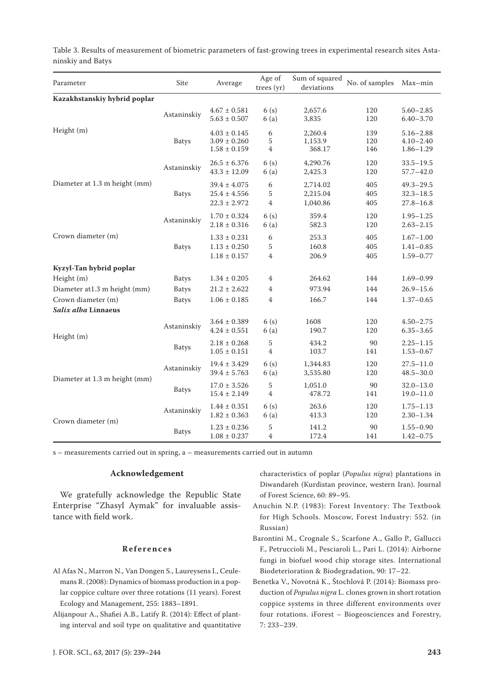| Parameter                     | Site         | Average                                                  | Age of<br>trees (yr)         | Sum of squared<br>deviations     | No. of samples    | Max-min                                         |
|-------------------------------|--------------|----------------------------------------------------------|------------------------------|----------------------------------|-------------------|-------------------------------------------------|
| Kazakhstanskiy hybrid poplar  |              |                                                          |                              |                                  |                   |                                                 |
| Height (m)                    | Astaninskiy  | $4.67 \pm 0.581$<br>$5.63 \pm 0.507$                     | 6(s)<br>6(a)                 | 2,657.6<br>3,835                 | 120<br>120        | $5.60 - 2.85$<br>$6.40 - 3.70$                  |
|                               | <b>Batys</b> | $4.03 \pm 0.145$<br>$3.09 \pm 0.260$<br>$1.58 \pm 0.159$ | 6<br>5<br>$\overline{4}$     | 2,260.4<br>1,153.9<br>368.17     | 139<br>120<br>146 | $5.16 - 2.88$<br>$4.10 - 2.40$<br>$1.86 - 1.29$ |
| Diameter at 1.3 m height (mm) | Astaninskiy  | $26.5 \pm 6.376$<br>$43.3 \pm 12.09$                     | 6(s)<br>6(a)                 | 4,290.76<br>2,425.3              | 120<br>120        | $33.5 - 19.5$<br>$57.7 - 42.0$                  |
|                               | <b>Batys</b> | $39.4 \pm 4.075$<br>$25.4 \pm 4.556$<br>$22.3 \pm 2.972$ | 6<br>5<br>$\overline{4}$     | 2,714.02<br>2,215.04<br>1,040.86 | 405<br>405<br>405 | $49.3 - 29.5$<br>$32.3 - 18.5$<br>$27.8 - 16.8$ |
|                               | Astaninskiy  | $1.70 \pm 0.324$<br>$2.18 \pm 0.316$                     | 6(s)<br>6(a)                 | 359.4<br>582.3                   | 120<br>120        | $1.95 - 1.25$<br>$2.63 - 2.15$                  |
| Crown diameter (m)            | <b>Batys</b> | $1.33 \pm 0.231$<br>$1.13 \pm 0.250$<br>$1.18 \pm 0.157$ | 6<br>5<br>4                  | 253.3<br>160.8<br>206.9          | 405<br>405<br>405 | $1.67 - 1.00$<br>$1.41 - 0.85$<br>$1.59 - 0.77$ |
| Kyzyl-Tan hybrid poplar       |              |                                                          |                              |                                  |                   |                                                 |
| Height (m)                    | <b>Batys</b> | $1.34 \pm 0.205$                                         | 4                            | 264.62                           | 144               | $1.69 - 0.99$                                   |
| Diameter at 1.3 m height (mm) | <b>Batys</b> | $21.2 \pm 2.622$                                         | 4                            | 973.94                           | 144               | $26.9 - 15.6$                                   |
| Crown diameter (m)            | <b>Batys</b> | $1.06 \pm 0.185$                                         | $\overline{4}$               | 166.7                            | 144               | $1.37 - 0.65$                                   |
| Salix alba Linnaeus           |              |                                                          |                              |                                  |                   |                                                 |
| Height (m)                    | Astaninskiy  | $3.64 \pm 0.389$<br>$4.24 \pm 0.551$                     | 6(s)<br>6(a)                 | 1608<br>190.7                    | 120<br>120        | $4.50 - 2.75$<br>$6.35 - 3.65$                  |
|                               | <b>Batys</b> | $2.18 \pm 0.268$<br>$1.05 \pm 0.151$                     | $\sqrt{5}$<br>$\overline{4}$ | 434.2<br>103.7                   | 90<br>141         | $2.25 - 1.15$<br>$1.53 - 0.67$                  |
| Diameter at 1.3 m height (mm) | Astaninskiy  | $19.4 \pm 3.429$<br>$39.4 \pm 5.763$                     | 6(s)<br>6(a)                 | 1,344.83<br>3,535.80             | 120<br>120        | $27.5 - 11.0$<br>$48.5 - 30.0$                  |
|                               | <b>Batys</b> | $17.0 \pm 3.526$<br>$15.4 \pm 2.149$                     | 5<br>$\overline{4}$          | 1,051.0<br>478.72                | 90<br>141         | $32.0 - 13.0$<br>$19.0 - 11.0$                  |
| Crown diameter (m)            | Astaninskiy  | $1.44 \pm 0.351$<br>$1.82 \pm 0.363$                     | 6(s)<br>6(a)                 | 263.6<br>413.3                   | 120<br>120        | $1.75 - 1.13$<br>$2.30 - 1.34$                  |
|                               | <b>Batys</b> | $1.23 \pm 0.236$<br>$1.08 \pm 0.237$                     | 5<br>4                       | 141.2<br>172.4                   | 90<br>141         | $1.55 - 0.90$<br>$1.42 - 0.75$                  |

Table 3. Results of measurement of biometric parameters of fast-growing trees in experimental research sites Astaninskiy and Batys

s – measurements carried out in spring, a – measurements carried out in autumn

### **Acknowledgement**

We gratefully acknowledge the Republic State Enterprise "Zhasyl Aymak" for invaluable assistance with field work.

## **References**

- Al Afas N., Marron N., Van Dongen S., Laureysens I., Ceulemans R. (2008): Dynamics of biomass production in a poplar coppice culture over three rotations (11 years). Forest Ecology and Management, 255: 1883–1891.
- Alijanpour A., Shafiei A.B., Latify R. (2014): Effect of planting interval and soil type on qualitative and quantitative

characteristics of poplar (*Populus nigra*) plantations in Diwandareh (Kurdistan province, western Iran). Journal of Forest Science, 60: 89–95.

- Anuchin N.P. (1983): Forest Inventory: The Textbook for High Schools. Moscow, Forest Industry: 552. (in Russian)
- Barontini M., Crognale S., Scarfone A., Gallo P., Gallucci F., Petruccioli M., Pesciaroli L., Pari L. (2014): Airborne fungi in biofuel wood chip storage sites. International Biodeterioration & Biodegradation, 90: 17–22.
- Benetka V., Novotná K., Štochlová P. (2014): Biomass production of *Populus nigra* L. clones grown in short rotation coppice systems in three different environments over four rotations. iForest – Biogeosciences and Forestry, 7: 233–239.